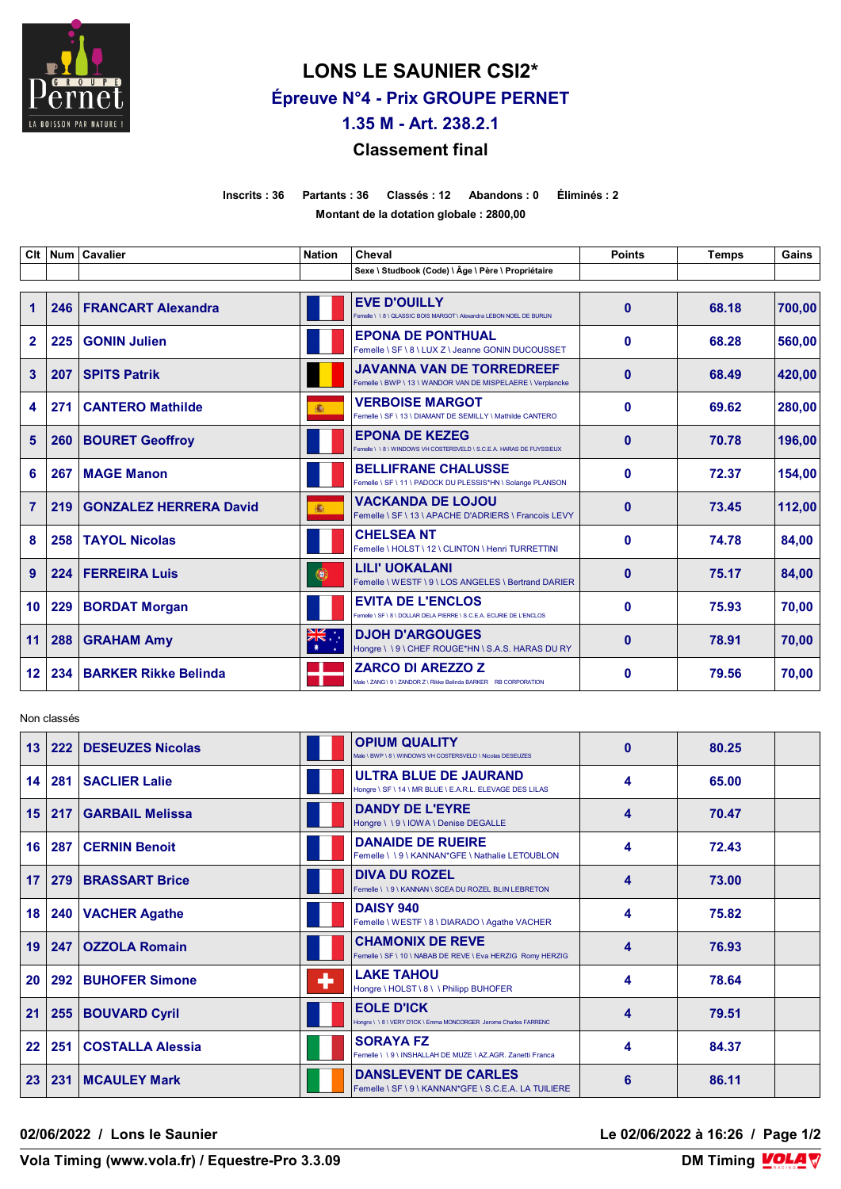

# **LONS LE SAUNIER CSI2\* Épreuve N°4 - Prix GROUPE PERNET**

**1.35 M - Art. 238.2.1**

# **Classement final**

**Inscrits : 36 Partants : 36 Classés : 12 Abandons : 0 Éliminés : 2 Montant de la dotation globale : 2800,00**

| Clt            |     | Num   Cavalier                | <b>Nation</b>             | Cheval                                                                                          | <b>Points</b> | <b>Temps</b> | Gains  |
|----------------|-----|-------------------------------|---------------------------|-------------------------------------------------------------------------------------------------|---------------|--------------|--------|
|                |     |                               |                           | Sexe \ Studbook (Code) \ Âge \ Père \ Propriétaire                                              |               |              |        |
| $\mathbf 1$    | 246 | <b>FRANCART Alexandra</b>     |                           | <b>EVE D'OUILLY</b><br>Femelle \\\8\QLASSIC BOIS MARGOT\Alexandra LEBON NOEL DE BURLIN          | $\mathbf{0}$  | 68.18        | 700.00 |
| $\mathbf{2}$   | 225 | <b>GONIN Julien</b>           |                           | <b>EPONA DE PONTHUAL</b><br>Femelle \ SF \ 8 \ LUX Z \ Jeanne GONIN DUCOUSSET                   | $\bf{0}$      | 68.28        | 560,00 |
| 3              | 207 | <b>SPITS Patrik</b>           |                           | <b>JAVANNA VAN DE TORREDREEF</b><br>Femelle \ BWP \ 13 \ WANDOR VAN DE MISPELAERE \ Verplancke  | $\mathbf{0}$  | 68.49        | 420,00 |
| 4              | 271 | <b>CANTERO Mathilde</b>       | 潚                         | <b>VERBOISE MARGOT</b><br>Femelle \ SF \ 13 \ DIAMANT DE SEMILLY \ Mathilde CANTERO             | $\bf{0}$      | 69.62        | 280,00 |
| 5              | 260 | <b>BOURET Geoffroy</b>        |                           | <b>EPONA DE KEZEG</b><br>Femelle \\8\WINDOWS VH COSTERSVELD \S.C.E.A. HARAS DE FUYSSIEUX        | $\bf{0}$      | 70.78        | 196,00 |
| 6              | 267 | <b>MAGE Manon</b>             |                           | <b>BELLIFRANE CHALUSSE</b><br>Femelle \ SF \ 11 \ PADOCK DU PLESSIS*HN \ Solange PLANSON        | $\bf{0}$      | 72.37        | 154.00 |
| $\overline{7}$ | 219 | <b>GONZALEZ HERRERA David</b> | 癫                         | <b>VACKANDA DE LOJOU</b><br>Femelle \ SF \ 13 \ APACHE D'ADRIERS \ Francois LEVY                | $\bf{0}$      | 73.45        | 112,00 |
| 8              | 258 | <b>TAYOL Nicolas</b>          |                           | <b>CHELSEA NT</b><br>Femelle \ HOLST \ 12 \ CLINTON \ Henri TURRETTINI                          | $\mathbf{0}$  | 74.78        | 84,00  |
| 9              | 224 | <b>FERREIRA Luis</b>          | 0                         | <b>LILI' UOKALANI</b><br>Femelle \ WESTF \ 9 \ LOS ANGELES \ Bertrand DARIER                    | $\mathbf{0}$  | 75.17        | 84,00  |
| 10             | 229 | <b>BORDAT Morgan</b>          |                           | <b>EVITA DE L'ENCLOS</b><br>Femelle \ SF \ 8 \ DOLLAR DELA PIERRE \ S.C.E.A. ECURIE DE L'ENCLOS | $\bf{0}$      | 75.93        | 70.00  |
| 11             | 288 | <b>GRAHAM Amy</b>             | ∵, <del>≫</del><br>$\ast$ | <b>DJOH D'ARGOUGES</b><br>Hongre \ \ 9 \ CHEF ROUGE*HN \ S.A.S. HARAS DU RY                     | $\bf{0}$      | 78.91        | 70,00  |
| $12 \,$        | 234 | <b>BARKER Rikke Belinda</b>   |                           | <b>ZARCO DI AREZZO Z</b><br>Vale \ ZANG \ 9 \ ZANDOR Z \ Rikke Belinda BARKER RB CORPORATION    | $\mathbf{0}$  | 79.56        | 70,00  |

Non classés

| 13 | 222 | <b>DESEUZES Nicolas</b> |   | <b>OPIUM QUALITY</b><br>Male \ BWP \ 8 \ WINDOWS VH COSTERSVELD \ Nicolas DESEUZES     | $\bf{0}$ | 80.25 |  |
|----|-----|-------------------------|---|----------------------------------------------------------------------------------------|----------|-------|--|
| 14 |     | 281   SACLIER Lalie     |   | ULTRA BLUE DE JAURAND<br>Hongre \ SF \ 14 \ MR BLUE \ E.A.R.L. ELEVAGE DES LILAS       | 4        | 65.00 |  |
| 15 | 217 | <b>GARBAIL Melissa</b>  |   | <b>DANDY DE L'EYRE</b><br>Hongre \\9\IOWA\Denise DEGALLE                               | 4        | 70.47 |  |
| 16 | 287 | <b>CERNIN Benoit</b>    |   | <b>DANAIDE DE RUEIRE</b><br>Femelle \\9\KANNAN*GFE\Nathalie LETOUBLON                  | 4        | 72.43 |  |
| 17 | 279 | <b>BRASSART Brice</b>   |   | <b>DIVA DU ROZEL</b><br>Femelle \\9\KANNAN\SCEA DU ROZEL BLIN LEBRETON                 | 4        | 73.00 |  |
| 18 |     | 240   VACHER Agathe     |   | <b>DAISY 940</b><br>Femelle \ WESTF \ 8 \ DIARADO \ Agathe VACHER                      | 4        | 75.82 |  |
| 19 | 247 | <b>OZZOLA Romain</b>    |   | <b>CHAMONIX DE REVE</b><br>Femelle \ SF \ 10 \ NABAB DE REVE \ Eva HERZIG Romy HERZIG  | 4        | 76.93 |  |
| 20 | 292 | <b>BUHOFER Simone</b>   | ÷ | <b>LAKE TAHOU</b><br>Hongre \ HOLST \ 8 \ \ Philipp BUHOFER                            | 4        | 78.64 |  |
| 21 |     | 255 BOUVARD Cyril       |   | <b>EOLE D'ICK</b><br>Hongre \ \ 8 \ VERY D'ICK \ Emma MONCORGER Jerome Charles FARRENC | 4        | 79.51 |  |
| 22 | 251 | <b>COSTALLA Alessia</b> |   | <b>SORAYA FZ</b><br>Femelle \\9\INSHALLAH DE MUZE \AZ.AGR, Zanetti Franca              | 4        | 84.37 |  |
| 23 | 231 | <b>MCAULEY Mark</b>     |   | <b>DANSLEVENT DE CARLES</b><br>Femelle \ SF \ 9 \ KANNAN*GFE \ S.C.E.A. LA TUILIERE    | 6        | 86.11 |  |

**02/06/2022 / Lons le Saunier Le 02/06/2022 à 16:26 / Page 1/2**

**Vola Timing (www.vola.fr) / Equestre-Pro 3.3.09** 

**DM Timing VOLAV**